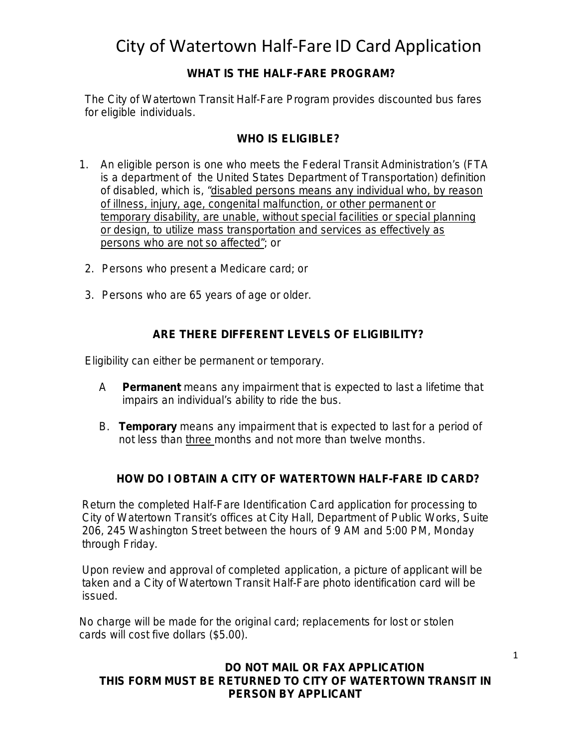City of Watertown Half-Fare ID Card Application

### **WHAT IS THE HALF-FARE PROGRAM?**

The City of Watertown Transit Half-Fare Program provides discounted bus fares for eligible individuals.

#### **WHO IS ELIGIBLE?**

- 1. An eligible person is one who meets the Federal Transit Administration's (FTA is a department of the United States Department of Transportation) definition of disabled, which is, "*disabled persons means any individual who, by reason of illness, injury, age, congenital malfunction, or other permanent or temporary disability, are unable, without special facilities or special planning or design, to utilize mass transportation and services as effectively as persons who are not so affected"*; or
- 2. Persons who present a Medicare card; or
- 3. Persons who are 65 years of age or older.

#### **ARE THERE DIFFERENT LEVELS OF ELIGIBILITY?**

Eligibility can either be permanent or temporary.

- A **Permanent** means any impairment that is expected to last a lifetime that impairs an individual's ability to ride the bus.
- B. **Temporary** means any impairment that is expected to last for a period of not less than three months and not more than twelve months.

#### **HOW DO I OBTAIN A CITY OF WATERTOWN HALF-FARE ID CARD?**

Return the completed Half-Fare Identification Card application for processing to City of Watertown Transit's offices at City Hall, Department of Public Works, Suite 206, 245 Washington Street between the hours of 9 AM and 5:00 PM, Monday through Friday.

Upon review and approval of completed application, a picture of applicant will be taken and a City of Watertown Transit Half-Fare photo identification card will be issued.

No charge will be made for the original card; replacements for lost or stolen cards will cost five dollars (\$5.00).

#### **DO NOT MAIL OR FAX APPLICATION THIS FORM MUST BE RETURNED TO CITY OF WATERTOWN TRANSIT IN PERSON BY APPLICANT**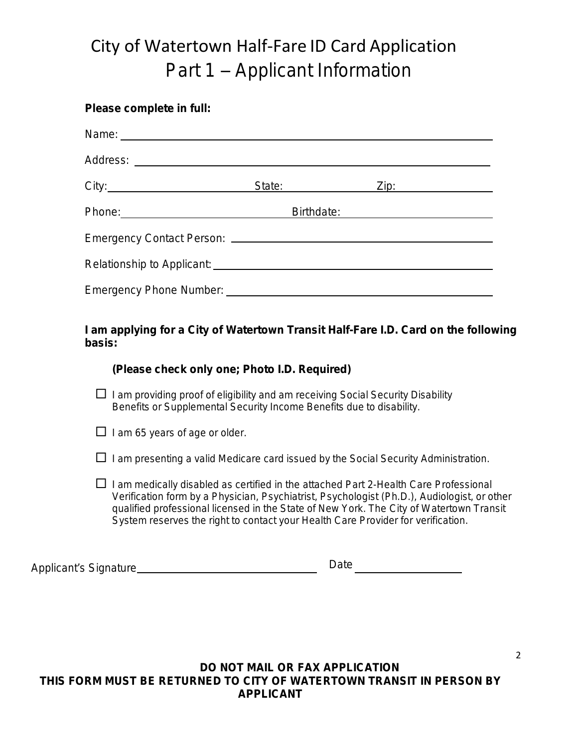# City of Watertown Half-Fare ID Card Application Part 1 – Applicant Information

#### **Please complete in full:**

|                                | State: State: |                                                                    | <u>Zip:__________________</u> |
|--------------------------------|---------------|--------------------------------------------------------------------|-------------------------------|
|                                | Birthdate:    | <u> 1989 - Johann Barbara, martxa amerikan personal (h. 1989).</u> |                               |
|                                |               |                                                                    |                               |
|                                |               |                                                                    |                               |
| <b>Emergency Phone Number:</b> |               |                                                                    |                               |

#### **I am applying for a City of Watertown Transit Half-Fare I.D. Card on the following basis:**

#### *(Please check only one; Photo I.D. Required)*

 $\Box$  I am providing proof of eligibility and am receiving Social Security Disability Benefits or Supplemental Security Income Benefits due to disability.

 $\Box$  I am 65 years of age or older.

- $\Box$  I am presenting a valid Medicare card issued by the Social Security Administration.
- $\Box$  I am medically disabled as certified in the attached Part 2-Health Care Professional Verification form by a Physician, Psychiatrist, Psychologist (Ph.D.), Audiologist, or other qualified professional licensed in the State of New York. The City of Watertown Transit System reserves the right to contact your Health Care Provider for verification.

Applicant's Signature Date

**DO NOT MAIL OR FAX APPLICATION THIS FORM MUST BE RETURNED TO CITY OF WATERTOWN TRANSIT IN PERSON BY APPLICANT**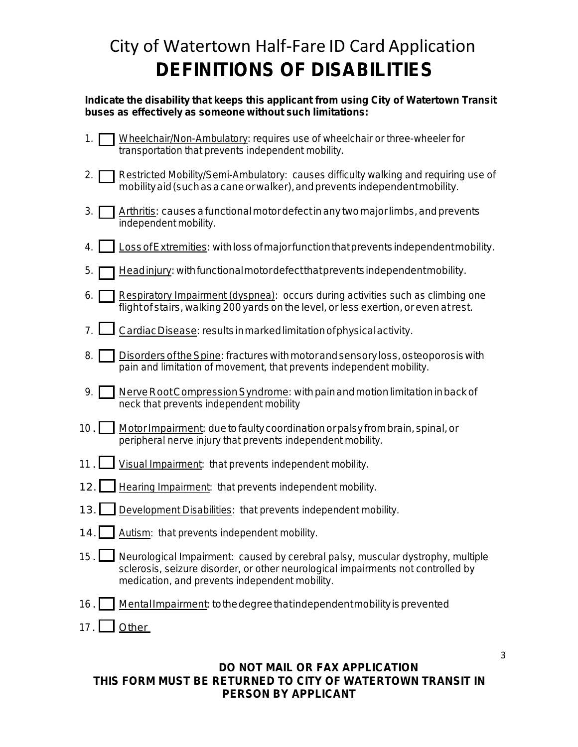## City of Watertown Half-Fare ID Card Application **DEFINITIONS OF DISABILITIES**

#### **Indicate the disability that keeps this applicant from using City of Watertown Transit buses as effectively as someone without such limitations:**

- 1. Wheelchair/Non-Ambulatory: requires use of wheelchair or three-wheeler for transportation that prevents independent mobility.
- 2. Restricted Mobility/Semi-Ambulatory: causes difficulty walking and requiring use of mobilityaid(suchasacaneorwalker),andpreventsindependentmobility.
- 3.  $\Box$  Arthritis: causes a functional motor defect in any two major limbs, and prevents independent mobility.
- 4. LossofExtremities: withlossofmajorfunctionthatpreventsindependentmobility.
- 5. **Headinjury: with functional motor defect that prevents independent mobility.**
- 6. Respiratory Impairment (dyspnea): occurs during activities such as climbing one flight of stairs, walking 200 yards on the level, orless exertion, or even atrest.
- 7.  $\Box$  Cardiac Disease: results in marked limitation of physical activity.
- 8. **Disorders of the Spine: fractures with motor and sensory loss, osteoporosis with** pain and limitation of movement, that prevents independent mobility.
- $9. \Box$  Nerve Root Compression Syndrome: with pain and motion limitation in back of neck that prevents independent mobility
- 10. MotorImpairment: duetofaultycoordinationorpalsy frombrain,spinal,or peripheral nerve injury that prevents independent mobility.
- 11. Visual Impairment: that prevents independent mobility.
- 12. | Hearing Impairment: that prevents independent mobility.
- 13. Development Disabilities: that prevents independent mobility.
- 14. Autism: that prevents independent mobility.
- $15.1$ Neurological Impairment: caused by cerebral palsy, muscular dystrophy, multiple sclerosis, seizure disorder, or other neurological impairments not controlled by medication, and prevents independent mobility.
- 16. Mental Impairment: to the degree that independent mobility is prevented
- 17. Other

#### **DO NOT MAIL OR FAX APPLICATION THIS FORM MUST BE RETURNED TO CITY OF WATERTOWN TRANSIT IN PERSON BY APPLICANT**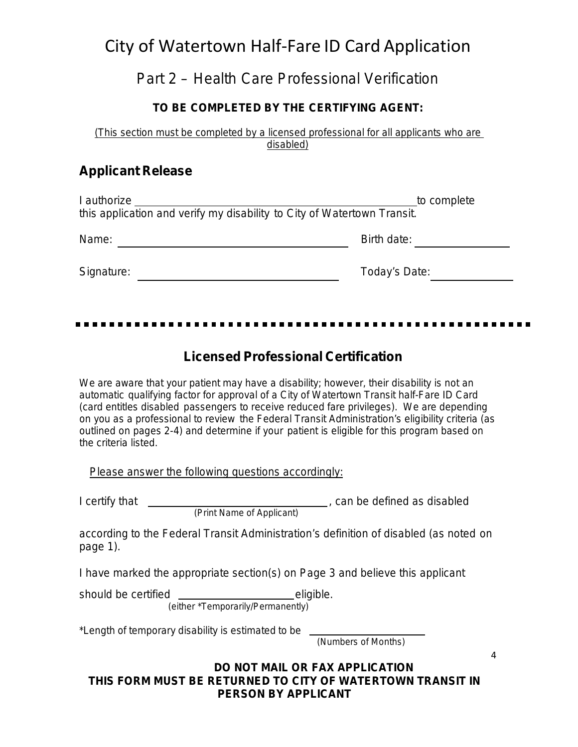## City of Watertown Half-Fare ID Card Application

## Part 2 – Health Care Professional Verification

### **TO BE COMPLETED BY THE CERTIFYING AGENT:**

(This section *must* be completed by a licensed professional for all applicants who are disabled)

### **Applicant Release**

| I authorize<br>to complete<br>this application and verify my disability to City of Watertown Transit. |               |  |
|-------------------------------------------------------------------------------------------------------|---------------|--|
| Name:                                                                                                 | Birth date:   |  |
| Signature:                                                                                            | Today's Date: |  |

### **Licensed Professional Certification**

We are aware that your patient may have a disability; however, their disability is not an automatic qualifying factor for approval of a City of Watertown Transit half-Fare ID Card (card entitles disabled passengers to receive reduced fare privileges). We are depending on you as a professional to review the Federal Transit Administration's eligibility criteria (as outlined on pages 2-4) and determine if your patient is eligible for this program based on the criteria listed.

Please answer the following questions accordingly:

I certify that \_

, can be defined as disabled

*(Print Name of Applicant)*

according to the Federal Transit Administration's definition of disabled (as noted on page 1).

I have marked the appropriate section(s) on Page 3 and believe this applicant

should be certified eligible. *(either \*Temporarily/Permanently*)

\*Length of temporary disability is estimated to be

*(Numbers of Months*)

**DO NOT MAIL OR FAX APPLICATION THIS FORM MUST BE RETURNED TO CITY OF WATERTOWN TRANSIT IN PERSON BY APPLICANT**

4